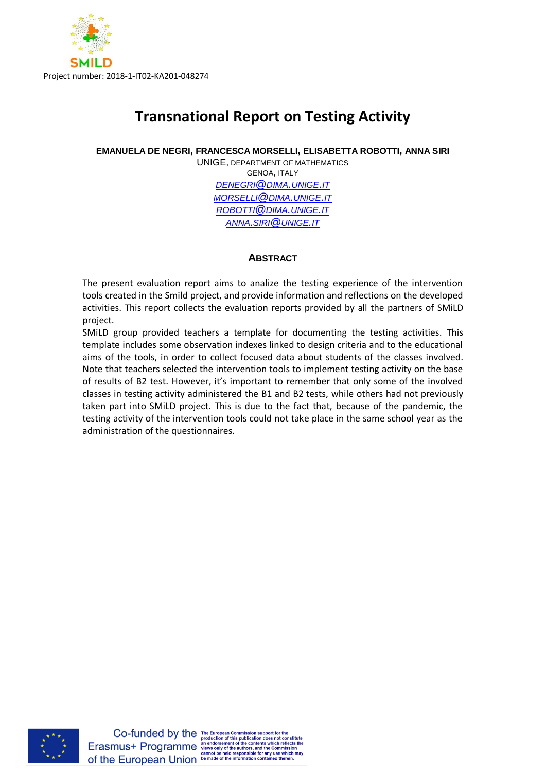

# **Transnational Report on Testing Activity**

**EMANUELA DE NEGRI, FRANCESCA MORSELLI, ELISABETTA ROBOTTI, ANNA SIRI**

UNIGE, DEPARTMENT OF MATHEMATICS GENOA, ITALY *[DENEGRI](mailto:denegri@dima.unige.it)@DIMA.UNIGE.IT [MORSELLI](mailto:morselli@dima.unige.it)@DIMA.UNIGE.IT [ROBOTTI](mailto:robotti@dima.unige.it)@DIMA.UNIGE.IT ANNA.SIRI@[UNIGE](mailto:anna.siri@unige.it).IT*

# **ABSTRACT**

The present evaluation report aims to analize the testing experience of the intervention tools created in the Smild project, and provide information and reflections on the developed activities. This report collects the evaluation reports provided by all the partners of SMiLD project.

SMiLD group provided teachers a template for documenting the testing activities. This template includes some observation indexes linked to design criteria and to the educational aims of the tools, in order to collect focused data about students of the classes involved. Note that teachers selected the intervention tools to implement testing activity on the base of results of B2 test. However, it's important to remember that only some of the involved classes in testing activity administered the B1 and B2 tests, while others had not previously taken part into SMiLD project. This is due to the fact that, because of the pandemic, the testing activity of the intervention tools could not take place in the same school year as the administration of the questionnaires.

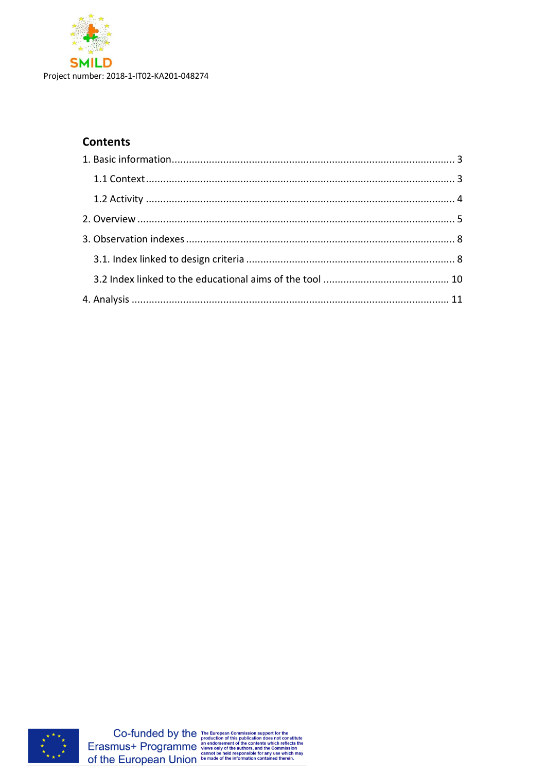

# **Contents**



 $\label{eq:co-fundred} \begin{minipage}{0.9\linewidth} Co-fundred by the {\tiny\begin{subarray}{l} The European Commission support for the production of this publication does not constitute the contents which reflects the Ciphers. For example, a more very of the authors, and the Commission cannot be held responsible for any use which may off the European Union be made of the information contained therein.} \end{subipage}$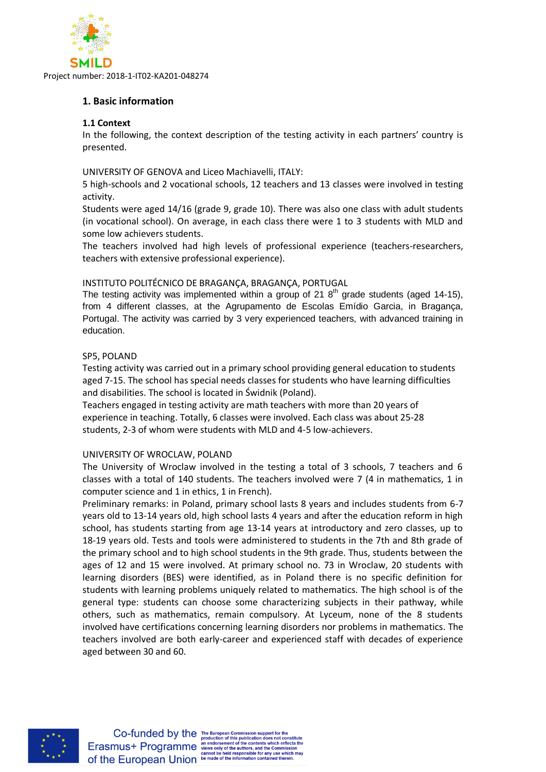

# <span id="page-2-0"></span>**1. Basic information**

# <span id="page-2-1"></span>**1.1 Context**

In the following, the context description of the testing activity in each partners' country is presented.

UNIVERSITY OF GENOVA and Liceo Machiavelli, ITALY:

5 high-schools and 2 vocational schools, 12 teachers and 13 classes were involved in testing activity.

Students were aged 14/16 (grade 9, grade 10). There was also one class with adult students (in vocational school). On average, in each class there were 1 to 3 students with MLD and some low achievers students.

The teachers involved had high levels of professional experience (teachers-researchers, teachers with extensive professional experience).

# INSTITUTO POLITÉCNICO DE BRAGANÇA, BRAGANÇA, PORTUGAL

The testing activity was implemented within a group of 21  $8<sup>th</sup>$  grade students (aged 14-15), from 4 different classes, at the Agrupamento de Escolas Emídio Garcia, in Bragança, Portugal. The activity was carried by 3 very experienced teachers, with advanced training in education.

# SP5, POLAND

Testing activity was carried out in a primary school providing general education to students aged 7-15. The school has special needs classes for students who have learning difficulties and disabilities. The school is located in Świdnik (Poland).

Teachers engaged in testing activity are math teachers with more than 20 years of experience in teaching. Totally, 6 classes were involved. Each class was about 25-28 students, 2-3 of whom were students with MLD and 4-5 low-achievers.

#### UNIVERSITY OF WROCLAW, POLAND

The University of Wroclaw involved in the testing a total of 3 schools, 7 teachers and 6 classes with a total of 140 students. The teachers involved were 7 (4 in mathematics, 1 in computer science and 1 in ethics, 1 in French).

Preliminary remarks: in Poland, primary school lasts 8 years and includes students from 6-7 years old to 13-14 years old, high school lasts 4 years and after the education reform in high school, has students starting from age 13-14 years at introductory and zero classes, up to 18-19 years old. Tests and tools were administered to students in the 7th and 8th grade of the primary school and to high school students in the 9th grade. Thus, students between the ages of 12 and 15 were involved. At primary school no. 73 in Wroclaw, 20 students with learning disorders (BES) were identified, as in Poland there is no specific definition for students with learning problems uniquely related to mathematics. The high school is of the general type: students can choose some characterizing subjects in their pathway, while others, such as mathematics, remain compulsory. At Lyceum, none of the 8 students involved have certifications concerning learning disorders nor problems in mathematics. The teachers involved are both early-career and experienced staff with decades of experience aged between 30 and 60.

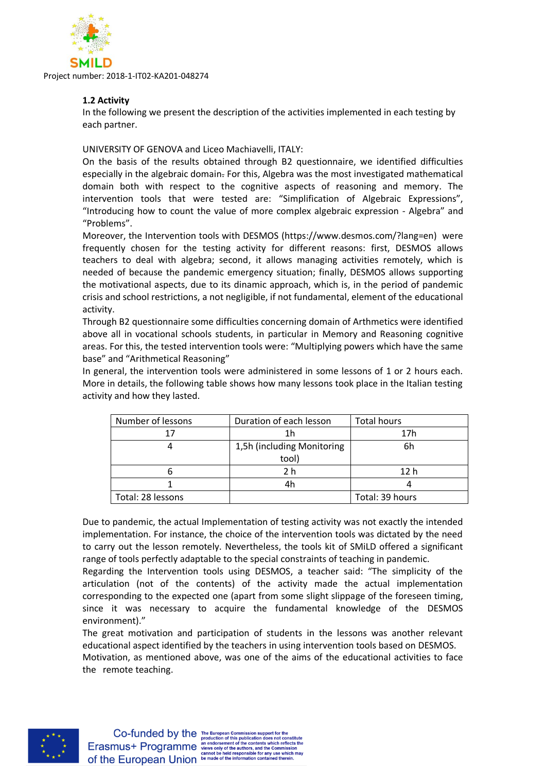

# <span id="page-3-0"></span>**1.2 Activity**

In the following we present the description of the activities implemented in each testing by each partner.

#### UNIVERSITY OF GENOVA and Liceo Machiavelli, ITALY:

On the basis of the results obtained through B2 questionnaire, we identified difficulties especially in the algebraic domain. For this, Algebra was the most investigated mathematical domain both with respect to the cognitive aspects of reasoning and memory. The intervention tools that were tested are: "Simplification of Algebraic Expressions", "Introducing how to count the value of more complex algebraic expression - Algebra" and "Problems".

Moreover, the Intervention tools with DESMOS (https://www.desmos.com/?lang=en) were frequently chosen for the testing activity for different reasons: first, DESMOS allows teachers to deal with algebra; second, it allows managing activities remotely, which is needed of because the pandemic emergency situation; finally, DESMOS allows supporting the motivational aspects, due to its dinamic approach, which is, in the period of pandemic crisis and school restrictions, a not negligible, if not fundamental, element of the educational activity.

Through B2 questionnaire some difficulties concerning domain of Arthmetics were identified above all in vocational schools students, in particular in Memory and Reasoning cognitive areas. For this, the tested intervention tools were: "Multiplying powers which have the same base" and "Arithmetical Reasoning"

In general, the intervention tools were administered in some lessons of 1 or 2 hours each. More in details, the following table shows how many lessons took place in the Italian testing activity and how they lasted.

| Number of lessons | Duration of each lesson    | <b>Total hours</b> |
|-------------------|----------------------------|--------------------|
|                   | 1h                         | 17 <sub>h</sub>    |
|                   | 1,5h (including Monitoring | 6h                 |
|                   | tool)                      |                    |
|                   | 2 h                        | 12 <sub>h</sub>    |
|                   |                            |                    |
| Total: 28 lessons |                            | Total: 39 hours    |

Due to pandemic, the actual Implementation of testing activity was not exactly the intended implementation. For instance, the choice of the intervention tools was dictated by the need to carry out the lesson remotely. Nevertheless, the tools kit of SMiLD offered a significant range of tools perfectly adaptable to the special constraints of teaching in pandemic.

Regarding the Intervention tools using DESMOS, a teacher said: "The simplicity of the articulation (not of the contents) of the activity made the actual implementation corresponding to the expected one (apart from some slight slippage of the foreseen timing, since it was necessary to acquire the fundamental knowledge of the DESMOS environment)."

The great motivation and participation of students in the lessons was another relevant educational aspect identified by the teachers in using intervention tools based on DESMOS. Motivation, as mentioned above, was one of the aims of the educational activities to face the remote teaching.

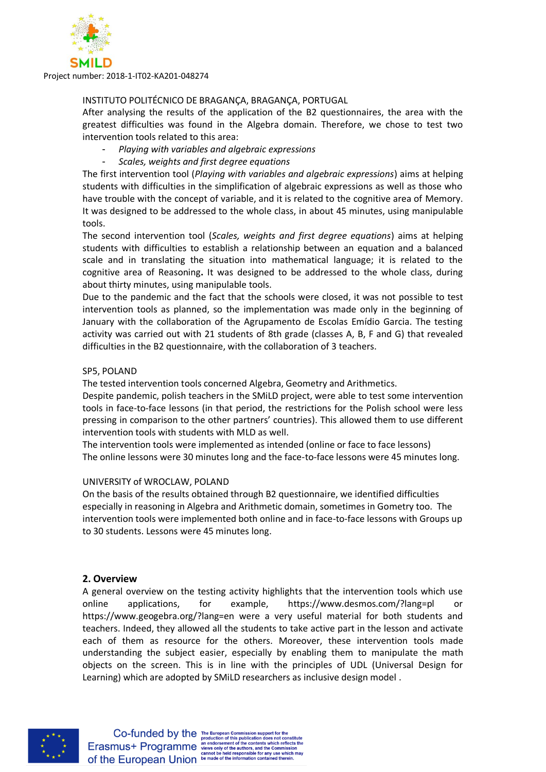

#### INSTITUTO POLITÉCNICO DE BRAGANÇA, BRAGANÇA, PORTUGAL

After analysing the results of the application of the B2 questionnaires, the area with the greatest difficulties was found in the Algebra domain. Therefore, we chose to test two intervention tools related to this area:

- *Playing with variables and algebraic expressions*
- *Scales, weights and first degree equations*

The first intervention tool (*Playing with variables and algebraic expressions*) aims at helping students with difficulties in the simplification of algebraic expressions as well as those who have trouble with the concept of variable, and it is related to the cognitive area of Memory. It was designed to be addressed to the whole class, in about 45 minutes, using manipulable tools.

The second intervention tool (*Scales, weights and first degree equations*) aims at helping students with difficulties to establish a relationship between an equation and a balanced scale and in translating the situation into mathematical language; it is related to the cognitive area of Reasoning**.** It was designed to be addressed to the whole class, during about thirty minutes, using manipulable tools.

Due to the pandemic and the fact that the schools were closed, it was not possible to test intervention tools as planned, so the implementation was made only in the beginning of January with the collaboration of the Agrupamento de Escolas Emídio Garcia. The testing activity was carried out with 21 students of 8th grade (classes A, B, F and G) that revealed difficulties in the B2 questionnaire, with the collaboration of 3 teachers.

#### SP5, POLAND

The tested intervention tools concerned Algebra, Geometry and Arithmetics.

Despite pandemic, polish teachers in the SMiLD project, were able to test some intervention tools in face-to-face lessons (in that period, the restrictions for the Polish school were less pressing in comparison to the other partners' countries). This allowed them to use different intervention tools with students with MLD as well.

The intervention tools were implemented as intended (online or face to face lessons) The online lessons were 30 minutes long and the face-to-face lessons were 45 minutes long.

#### UNIVERSITY of WROCLAW, POLAND

On the basis of the results obtained through B2 questionnaire, we identified difficulties especially in reasoning in Algebra and Arithmetic domain, sometimes in Gometry too. The intervention tools were implemented both online and in face-to-face lessons with Groups up to 30 students. Lessons were 45 minutes long.

#### <span id="page-4-0"></span>**2. Overview**

A general overview on the testing activity highlights that the intervention tools which use online applications, for example, https://www.desmos.com/?lang=pl or https://www.geogebra.org/?lang=en were a very useful material for both students and teachers. Indeed, they allowed all the students to take active part in the lesson and activate each of them as resource for the others. Moreover, these intervention tools made understanding the subject easier, especially by enabling them to manipulate the math objects on the screen. This is in line with the principles of UDL (Universal Design for Learning) which are adopted by SMiLD researchers as inclusive design model .

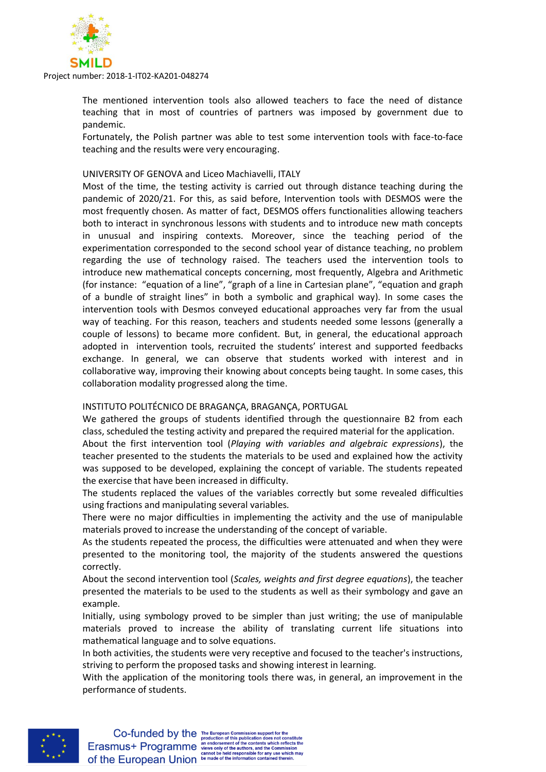

The mentioned intervention tools also allowed teachers to face the need of distance teaching that in most of countries of partners was imposed by government due to pandemic.

Fortunately, the Polish partner was able to test some intervention tools with face-to-face teaching and the results were very encouraging.

#### UNIVERSITY OF GENOVA and Liceo Machiavelli, ITALY

Most of the time, the testing activity is carried out through distance teaching during the pandemic of 2020/21. For this, as said before, Intervention tools with DESMOS were the most frequently chosen. As matter of fact, DESMOS offers functionalities allowing teachers both to interact in synchronous lessons with students and to introduce new math concepts in unusual and inspiring contexts. Moreover, since the teaching period of the experimentation corresponded to the second school year of distance teaching, no problem regarding the use of technology raised. The teachers used the intervention tools to introduce new mathematical concepts concerning, most frequently, Algebra and Arithmetic (for instance: "equation of a line", "graph of a line in Cartesian plane", "equation and graph of a bundle of straight lines" in both a symbolic and graphical way). In some cases the intervention tools with Desmos conveyed educational approaches very far from the usual way of teaching. For this reason, teachers and students needed some lessons (generally a couple of lessons) to became more confident. But, in general, the educational approach adopted in intervention tools, recruited the students' interest and supported feedbacks exchange. In general, we can observe that students worked with interest and in collaborative way, improving their knowing about concepts being taught. In some cases, this collaboration modality progressed along the time.

#### INSTITUTO POLITÉCNICO DE BRAGANÇA, BRAGANÇA, PORTUGAL

We gathered the groups of students identified through the questionnaire B2 from each class, scheduled the testing activity and prepared the required material for the application.

About the first intervention tool (*Playing with variables and algebraic expressions*), the teacher presented to the students the materials to be used and explained how the activity was supposed to be developed, explaining the concept of variable. The students repeated the exercise that have been increased in difficulty.

The students replaced the values of the variables correctly but some revealed difficulties using fractions and manipulating several variables.

There were no major difficulties in implementing the activity and the use of manipulable materials proved to increase the understanding of the concept of variable.

As the students repeated the process, the difficulties were attenuated and when they were presented to the monitoring tool, the majority of the students answered the questions correctly.

About the second intervention tool (*Scales, weights and first degree equations*), the teacher presented the materials to be used to the students as well as their symbology and gave an example.

Initially, using symbology proved to be simpler than just writing; the use of manipulable materials proved to increase the ability of translating current life situations into mathematical language and to solve equations.

In both activities, the students were very receptive and focused to the teacher's instructions, striving to perform the proposed tasks and showing interest in learning.

With the application of the monitoring tools there was, in general, an improvement in the performance of students.

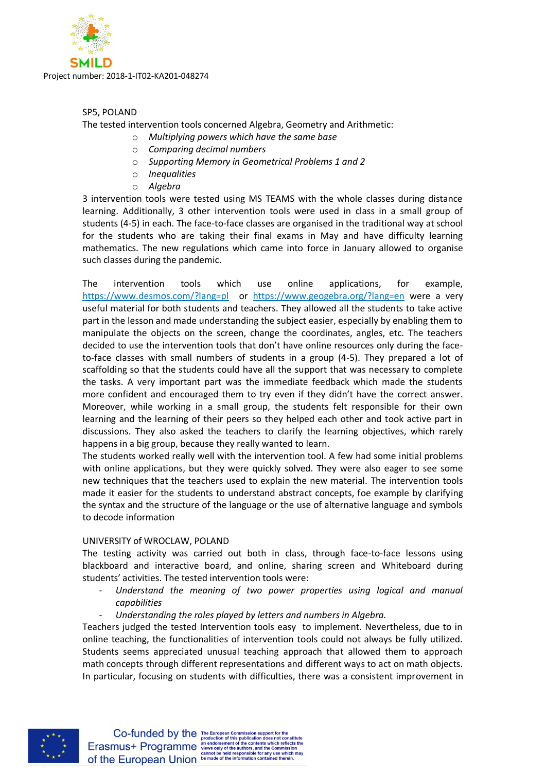

# SP5, POLAND

The tested intervention tools concerned Algebra, Geometry and Arithmetic:

- o *Multiplying powers which have the same base*
- o *Comparing decimal numbers*
- o *Supporting Memory in Geometrical Problems 1 and 2*
- o *Inequalities*
- o *Algebra*

3 intervention tools were tested using MS TEAMS with the whole classes during distance learning. Additionally, 3 other intervention tools were used in class in a small group of students (4-5) in each. The face-to-face classes are organised in the traditional way at school for the students who are taking their final exams in May and have difficulty learning mathematics. The new regulations which came into force in January allowed to organise such classes during the pandemic.

The intervention tools which use online applications, for example, <https://www.desmos.com/?lang=pl>or <https://www.geogebra.org/?lang=en> were a very useful material for both students and teachers. They allowed all the students to take active part in the lesson and made understanding the subject easier, especially by enabling them to manipulate the objects on the screen, change the coordinates, angles, etc. The teachers decided to use the intervention tools that don't have online resources only during the faceto-face classes with small numbers of students in a group (4-5). They prepared a lot of scaffolding so that the students could have all the support that was necessary to complete the tasks. A very important part was the immediate feedback which made the students more confident and encouraged them to try even if they didn't have the correct answer. Moreover, while working in a small group, the students felt responsible for their own learning and the learning of their peers so they helped each other and took active part in discussions. They also asked the teachers to clarify the learning objectives, which rarely happens in a big group, because they really wanted to learn.

The students worked really well with the intervention tool. A few had some initial problems with online applications, but they were quickly solved. They were also eager to see some new techniques that the teachers used to explain the new material. The intervention tools made it easier for the students to understand abstract concepts, foe example by clarifying the syntax and the structure of the language or the use of alternative language and symbols to decode information

#### UNIVERSITY of WROCLAW, POLAND

The testing activity was carried out both in class, through face-to-face lessons using blackboard and interactive board, and online, sharing screen and Whiteboard during students' activities. The tested intervention tools were:

- *Understand the meaning of two power properties using logical and manual capabilities*
- *Understanding the roles played by letters and numbers in Algebra.*

Teachers judged the tested Intervention tools easy to implement. Nevertheless, due to in online teaching, the functionalities of intervention tools could not always be fully utilized. Students seems appreciated unusual teaching approach that allowed them to approach math concepts through different representations and different ways to act on math objects. In particular, focusing on students with difficulties, there was a consistent improvement in

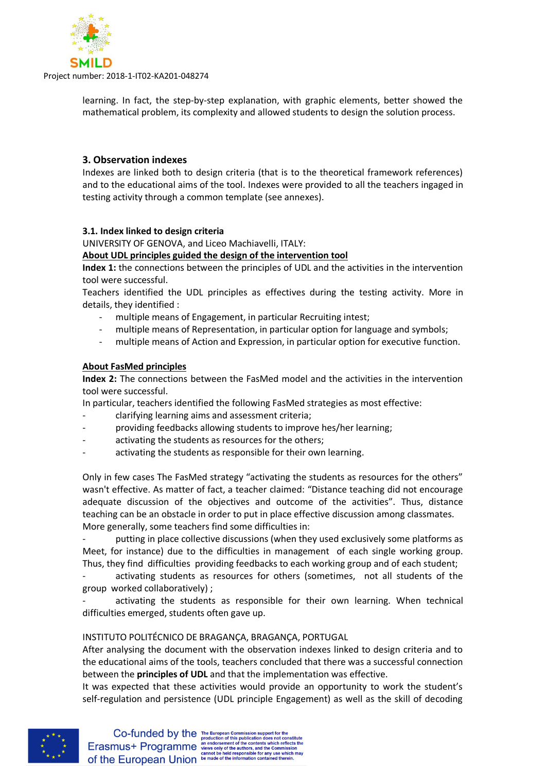

learning. In fact, the step-by-step explanation, with graphic elements, better showed the mathematical problem, its complexity and allowed students to design the solution process.

# <span id="page-7-0"></span>**3. Observation indexes**

Indexes are linked both to design criteria (that is to the theoretical framework references) and to the educational aims of the tool. Indexes were provided to all the teachers ingaged in testing activity through a common template (see annexes).

# <span id="page-7-1"></span>**3.1. Index linked to design criteria**

UNIVERSITY OF GENOVA, and Liceo Machiavelli, ITALY:

#### **About UDL principles guided the design of the intervention tool**

**Index 1:** the connections between the principles of UDL and the activities in the intervention tool were successful.

Teachers identified the UDL principles as effectives during the testing activity. More in details, they identified :

- multiple means of Engagement, in particular Recruiting intest;
- multiple means of Representation, in particular option for language and symbols;
- multiple means of Action and Expression, in particular option for executive function.

# **About FasMed principles**

**Index 2:** The connections between the FasMed model and the activities in the intervention tool were successful.

In particular, teachers identified the following FasMed strategies as most effective:

- clarifying learning aims and assessment criteria;
- providing feedbacks allowing students to improve hes/her learning;
- activating the students as resources for the others;
- activating the students as responsible for their own learning.

Only in few cases The FasMed strategy "activating the students as resources for the others" wasn't effective. As matter of fact, a teacher claimed: "Distance teaching did not encourage adequate discussion of the objectives and outcome of the activities". Thus, distance teaching can be an obstacle in order to put in place effective discussion among classmates. More generally, some teachers find some difficulties in:

putting in place collective discussions (when they used exclusively some platforms as Meet, for instance) due to the difficulties in management of each single working group. Thus, they find difficulties providing feedbacks to each working group and of each student;

activating students as resources for others (sometimes, not all students of the group worked collaboratively) ;

activating the students as responsible for their own learning. When technical difficulties emerged, students often gave up.

#### INSTITUTO POLITÉCNICO DE BRAGANÇA, BRAGANÇA, PORTUGAL

After analysing the document with the observation indexes linked to design criteria and to the educational aims of the tools, teachers concluded that there was a successful connection between the **principles of UDL** and that the implementation was effective.

It was expected that these activities would provide an opportunity to work the student's self-regulation and persistence (UDL principle Engagement) as well as the skill of decoding

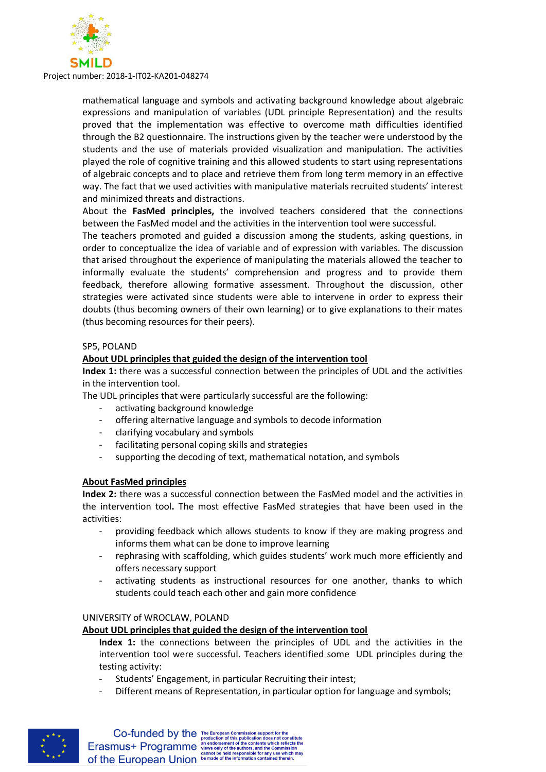

mathematical language and symbols and activating background knowledge about algebraic expressions and manipulation of variables (UDL principle Representation) and the results proved that the implementation was effective to overcome math difficulties identified through the B2 questionnaire. The instructions given by the teacher were understood by the students and the use of materials provided visualization and manipulation. The activities played the role of cognitive training and this allowed students to start using representations of algebraic concepts and to place and retrieve them from long term memory in an effective way. The fact that we used activities with manipulative materials recruited students' interest and minimized threats and distractions.

About the **FasMed principles,** the involved teachers considered that the connections between the FasMed model and the activities in the intervention tool were successful.

The teachers promoted and guided a discussion among the students, asking questions, in order to conceptualize the idea of variable and of expression with variables. The discussion that arised throughout the experience of manipulating the materials allowed the teacher to informally evaluate the students' comprehension and progress and to provide them feedback, therefore allowing formative assessment. Throughout the discussion, other strategies were activated since students were able to intervene in order to express their doubts (thus becoming owners of their own learning) or to give explanations to their mates (thus becoming resources for their peers).

#### SP5, POLAND

#### **About UDL principles that guided the design of the intervention tool**

**Index 1:** there was a successful connection between the principles of UDL and the activities in the intervention tool.

The UDL principles that were particularly successful are the following:

- activating background knowledge
- offering alternative language and symbols to decode information
- clarifying vocabulary and symbols
- facilitating personal coping skills and strategies
- supporting the decoding of text, mathematical notation, and symbols

#### **About FasMed principles**

**Index 2:** there was a successful connection between the FasMed model and the activities in the intervention tool**.** The most effective FasMed strategies that have been used in the activities:

- providing feedback which allows students to know if they are making progress and informs them what can be done to improve learning
- rephrasing with scaffolding, which guides students' work much more efficiently and offers necessary support
- activating students as instructional resources for one another, thanks to which students could teach each other and gain more confidence

#### UNIVERSITY of WROCLAW, POLAND

#### **About UDL principles that guided the design of the intervention tool**

**Index 1:** the connections between the principles of UDL and the activities in the intervention tool were successful. Teachers identified some UDL principles during the testing activity:

- Students' Engagement, in particular Recruiting their intest;
- Different means of Representation, in particular option for language and symbols;

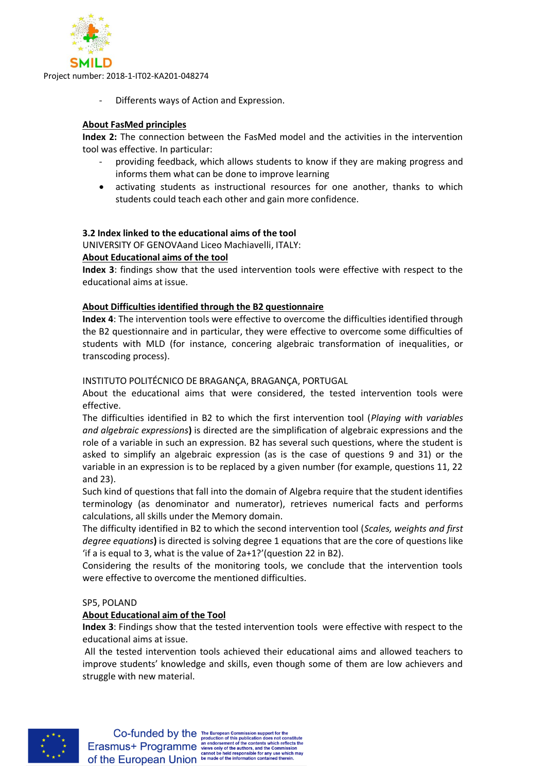

Differents ways of Action and Expression.

# **About FasMed principles**

**Index 2:** The connection between the FasMed model and the activities in the intervention tool was effective. In particular:

- providing feedback, which allows students to know if they are making progress and informs them what can be done to improve learning
- activating students as instructional resources for one another, thanks to which students could teach each other and gain more confidence.

# <span id="page-9-0"></span>**3.2 Index linked to the educational aims of the tool**

UNIVERSITY OF GENOVAand Liceo Machiavelli, ITALY:

#### **About Educational aims of the tool**

**Index 3**: findings show that the used intervention tools were effective with respect to the educational aims at issue.

# **About Difficulties identified through the B2 questionnaire**

**Index 4**: The intervention tools were effective to overcome the difficulties identified through the B2 questionnaire and in particular, they were effective to overcome some difficulties of students with MLD (for instance, concering algebraic transformation of inequalities, or transcoding process).

#### INSTITUTO POLITÉCNICO DE BRAGANÇA, BRAGANÇA, PORTUGAL

About the educational aims that were considered, the tested intervention tools were effective.

The difficulties identified in B2 to which the first intervention tool (*Playing with variables and algebraic expressions***)** is directed are the simplification of algebraic expressions and the role of a variable in such an expression. B2 has several such questions, where the student is asked to simplify an algebraic expression (as is the case of questions 9 and 31) or the variable in an expression is to be replaced by a given number (for example, questions 11, 22 and 23).

Such kind of questions that fall into the domain of Algebra require that the student identifies terminology (as denominator and numerator), retrieves numerical facts and performs calculations, all skills under the Memory domain.

The difficulty identified in B2 to which the second intervention tool (*Scales, weights and first degree equations***)** is directed is solving degree 1 equations that are the core of questions like 'if a is equal to 3, what is the value of 2a+1?'(question 22 in B2).

Considering the results of the monitoring tools, we conclude that the intervention tools were effective to overcome the mentioned difficulties.

#### SP5, POLAND

#### **About Educational aim of the Tool**

**Index 3**: Findings show that the tested intervention tools were effective with respect to the educational aims at issue.

All the tested intervention tools achieved their educational aims and allowed teachers to improve students' knowledge and skills, even though some of them are low achievers and struggle with new material.

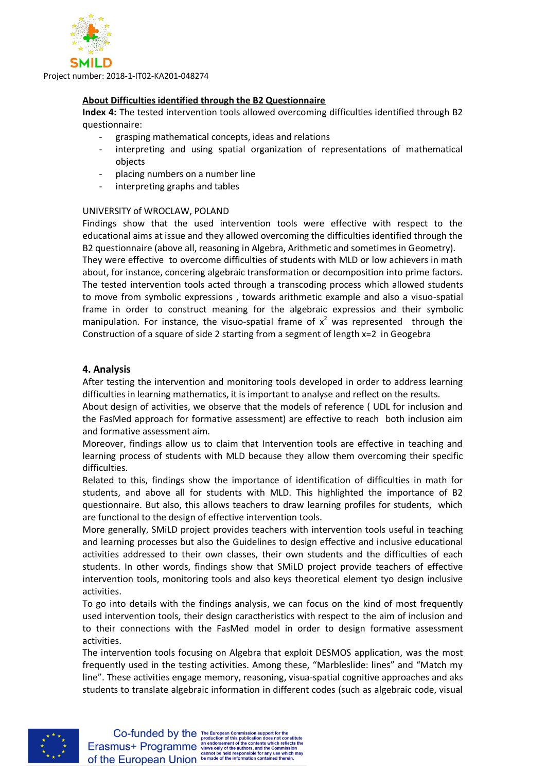

#### **About Difficulties identified through the B2 Questionnaire**

**Index 4:** The tested intervention tools allowed overcoming difficulties identified through B2 questionnaire:

- grasping mathematical concepts, ideas and relations
- interpreting and using spatial organization of representations of mathematical objects
- placing numbers on a number line
- interpreting graphs and tables

# UNIVERSITY of WROCLAW, POLAND

Findings show that the used intervention tools were effective with respect to the educational aims at issue and they allowed overcoming the difficulties identified through the B2 questionnaire (above all, reasoning in Algebra, Arithmetic and sometimes in Geometry). They were effective to overcome difficulties of students with MLD or low achievers in math about, for instance, concering algebraic transformation or decomposition into prime factors. The tested intervention tools acted through a transcoding process which allowed students to move from symbolic expressions , towards arithmetic example and also a visuo-spatial frame in order to construct meaning for the algebraic expressios and their symbolic manipulation. For instance, the visuo-spatial frame of  $x^2$  was represented through the Construction of a square of side 2 starting from a segment of length x=2 in Geogebra

# <span id="page-10-0"></span>**4. Analysis**

After testing the intervention and monitoring tools developed in order to address learning difficulties in learning mathematics, it is important to analyse and reflect on the results.

About design of activities, we observe that the models of reference ( UDL for inclusion and the FasMed approach for formative assessment) are effective to reach both inclusion aim and formative assessment aim.

Moreover, findings allow us to claim that Intervention tools are effective in teaching and learning process of students with MLD because they allow them overcoming their specific difficulties.

Related to this, findings show the importance of identification of difficulties in math for students, and above all for students with MLD. This highlighted the importance of B2 questionnaire. But also, this allows teachers to draw learning profiles for students, which are functional to the design of effective intervention tools.

More generally, SMiLD project provides teachers with intervention tools useful in teaching and learning processes but also the Guidelines to design effective and inclusive educational activities addressed to their own classes, their own students and the difficulties of each students. In other words, findings show that SMiLD project provide teachers of effective intervention tools, monitoring tools and also keys theoretical element tyo design inclusive activities.

To go into details with the findings analysis, we can focus on the kind of most frequently used intervention tools, their design caractheristics with respect to the aim of inclusion and to their connections with the FasMed model in order to design formative assessment activities.

The intervention tools focusing on Algebra that exploit DESMOS application, was the most frequently used in the testing activities. Among these, "Marbleslide: lines" and "Match my line". These activities engage memory, reasoning, visua-spatial cognitive approaches and aks students to translate algebraic information in different codes (such as algebraic code, visual

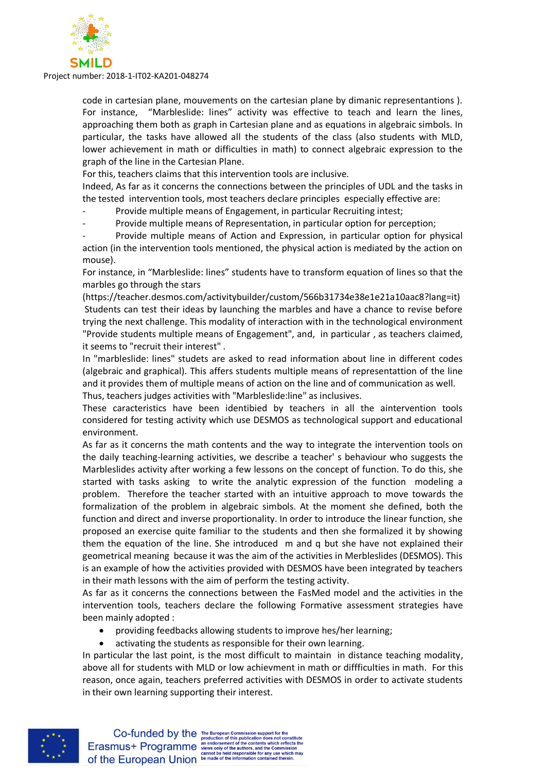

code in cartesian plane, mouvements on the cartesian plane by dimanic representantions ). For instance, "Marbleslide: lines" activity was effective to teach and learn the lines, approaching them both as graph in Cartesian plane and as equations in algebraic simbols. In particular, the tasks have allowed all the students of the class (also students with MLD, lower achievement in math or difficulties in math) to connect algebraic expression to the graph of the line in the Cartesian Plane.

For this, teachers claims that this intervention tools are inclusive.

Indeed, As far as it concerns the connections between the principles of UDL and the tasks in the tested intervention tools, most teachers declare principles especially effective are:

Provide multiple means of Engagement, in particular Recruiting intest;

- Provide multiple means of Representation, in particular option for perception;

Provide multiple means of Action and Expression, in particular option for physical action (in the intervention tools mentioned, the physical action is mediated by the action on mouse).

For instance, in "Marbleslide: lines" students have to transform equation of lines so that the marbles go through the stars

(https://teacher.desmos.com/activitybuilder/custom/566b31734e38e1e21a10aac8?lang=it) Students can test their ideas by launching the marbles and have a chance to revise before trying the next challenge. This modality of interaction with in the technological environment "Provide students multiple means of Engagement", and, in particular , as teachers claimed, it seems to "recruit their interest" .

In "marbleslide: lines" studets are asked to read information about line in different codes (algebraic and graphical). This affers students multiple means of representattion of the line and it provides them of multiple means of action on the line and of communication as well. Thus, teachers judges activities with "Marbleslide:line" as inclusives.

These caracteristics have been identibied by teachers in all the aintervention tools considered for testing activity which use DESMOS as technological support and educational environment.

As far as it concerns the math contents and the way to integrate the intervention tools on the daily teaching-learning activities, we describe a teacher' s behaviour who suggests the Marbleslides activity after working a few lessons on the concept of function. To do this, she started with tasks asking to write the analytic expression of the function modeling a problem. Therefore the teacher started with an intuitive approach to move towards the formalization of the problem in algebraic simbols. At the moment she defined, both the function and direct and inverse proportionality. In order to introduce the linear function, she proposed an exercise quite familiar to the students and then she formalized it by showing them the equation of the line. She introduced m and q but she have not explained their geometrical meaning because it was the aim of the activities in Merbleslides (DESMOS). This is an example of how the activities provided with DESMOS have been integrated by teachers in their math lessons with the aim of perform the testing activity.

As far as it concerns the connections between the FasMed model and the activities in the intervention tools, teachers declare the following Formative assessment strategies have been mainly adopted :

- providing feedbacks allowing students to improve hes/her learning;
- activating the students as responsible for their own learning.

In particular the last point, is the most difficult to maintain in distance teaching modality, above all for students with MLD or low achievment in math or diffficulties in math. For this reason, once again, teachers preferred activities with DESMOS in order to activate students in their own learning supporting their interest.